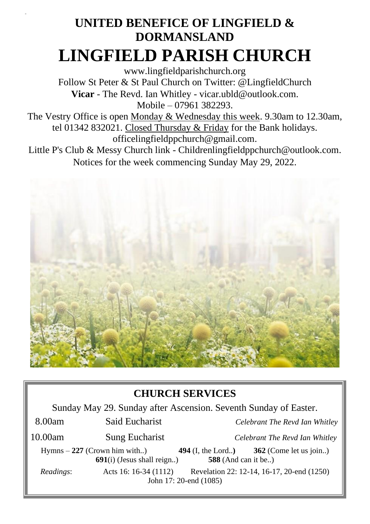# **UNITED BENEFICE OF LINGFIELD & DORMANSLAND LINGFIELD PARISH CHURCH**

[www.lingfieldparishchurch.org](http://www.lingfieldparishchurch.org/) Follow St Peter & St Paul Church on Twitter: @LingfieldChurch **Vicar** - The Revd. Ian Whitley - vicar.ubld@outlook.com. Mobile – 07961 382293.

The Vestry Office is open Monday & Wednesday this week. 9.30am to 12.30am, tel 01342 832021. Closed Thursday & Friday for the Bank holidays. [officelingfieldppchurch@gmail.com.](mailto:officelingfieldppchurch@gmail.com)

Little P's Club & Messy Church link - [Childrenlingfieldppchurch@outlook.com.](mailto:Childrenlingfieldppchurch@outlook.com) Notices for the week commencing Sunday May 29, 2022.



## **CHURCH SERVICES**

Sunday May 29. Sunday after Ascension. Seventh Sunday of Easter.

| 8.00am    | Said Eucharist                                                 | Celebrant The Revd Ian Whitley             |                                            |
|-----------|----------------------------------------------------------------|--------------------------------------------|--------------------------------------------|
| 10.00am   | <b>Sung Eucharist</b>                                          | Celebrant The Revd Ian Whitley             |                                            |
|           | $Hymns - 227$ (Crown him with)<br>$691(i)$ (Jesus shall reign) | 494 (I, the Lord)<br>$588$ (And can it be) | 362 (Come let us join)                     |
| Readings: | Acts 16: 16-34 (1112)                                          | John 17: 20-end (1085)                     | Revelation 22: 12-14, 16-17, 20-end (1250) |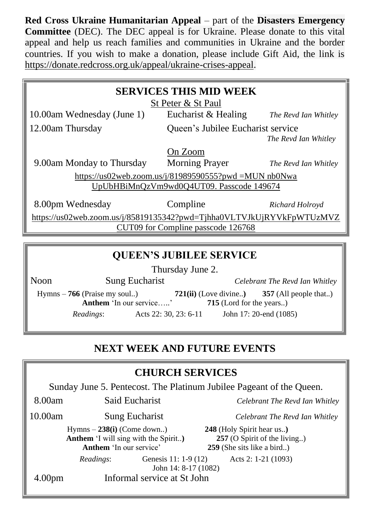**Red Cross Ukraine Humanitarian Appeal** – part of the **Disasters Emergency Committee** (DEC). The DEC appeal is for Ukraine. Please donate to this vital appeal and help us reach families and communities in Ukraine and the border countries. If you wish to make a donation, please include Gift Aid, the link is [https://donate.redcross.org.uk/appeal/ukraine-crises-appeal.](https://donate.redcross.org.uk/appeal/ukraine-crises-appeal)

| <b>SERVICES THIS MID WEEK</b><br>St Peter & St Paul                                               |                                   |                      |  |  |
|---------------------------------------------------------------------------------------------------|-----------------------------------|----------------------|--|--|
| 10.00am Wednesday (June 1)                                                                        | Eucharist & Healing               | The Revd Ian Whitley |  |  |
| 12.00am Thursday                                                                                  | Queen's Jubilee Eucharist service |                      |  |  |
|                                                                                                   |                                   | The Revd Ian Whitley |  |  |
|                                                                                                   | On Zoom                           |                      |  |  |
| 9.00am Monday to Thursday                                                                         | <b>Morning Prayer</b>             | The Revd Ian Whitley |  |  |
| https://us02web.zoom.us/j/81989590555?pwd =MUN nb0Nwa<br>UpUbHBiMnQzVm9wd0Q4UT09. Passcode 149674 |                                   |                      |  |  |
| 8.00pm Wednesday                                                                                  | Compline                          | Richard Holroyd      |  |  |
| https://us02web.zoom.us/j/85819135342?pwd=Tjhha0VLTVJkUjRYVkFpWTUzMVZ                             |                                   |                      |  |  |
| CUT09 for Compline passcode 126768                                                                |                                   |                      |  |  |
|                                                                                                   |                                   |                      |  |  |
| <b>QUEEN'S JUBILEE SERVICE</b>                                                                    |                                   |                      |  |  |

Thursday June 2.

Noon Sung Eucharist *Celebrant The Revd Ian Whitley*

Hymns – **766** (Praise my soul..) **721(ii)** (Love divine..**) 357** (All people that..) **Anthem** 'In our service.....' *Readings*: Acts 22: 30, 23: 6-11 John 17: 20-end (1085)

### **NEXT WEEK AND FUTURE EVENTS**

### **CHURCH SERVICES**

Sunday June 5. Pentecost. The Platinum Jubilee Pageant of the Queen.

John 14: 8-17 (1082)

10.00am Sung Eucharist *Celebrant The Revd Ian Whitley*

Hymns – **238(i)** (Come down..) **248** (Holy Spirit hear us..**) Anthem** 'I will sing with the Spirit...) **257** (O Spirit of the living...) **Anthem** 'In our service' **259** (She sits like a bird..) *Readings*: Genesis 11: 1-9 (12) Acts 2: 1-21 (1093)

8.00am Said Eucharist *Celebrant The Revd Ian Whitley*

4.00pm Informal service at St John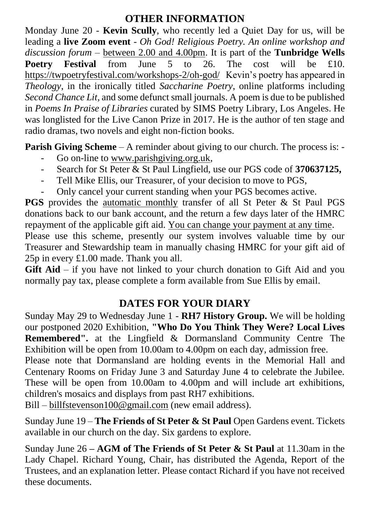#### **OTHER INFORMATION**

Monday June 20 - **Kevin Scully**, who recently led a Quiet Day for us, will be leading a **live Zoom event** - *Oh God! Religious Poetry. An online workshop and discussion forum –* between 2.00 and 4.00pm. It is part of the **Tunbridge Wells Poetry Festival** from June 5 to 26. The cost will be £10. <https://twpoetryfestival.com/workshops-2/oh-god/>Kevin's poetry has appeared in *Theology*, in the ironically titled *Saccharine Poetry*, online platforms including *Second Chance Lit,* and some defunct small journals. A poem is due to be published in *Poems In Praise of Libraries* curated by SIMS Poetry Library, Los Angeles. He was longlisted for the Live Canon Prize in 2017. He is the author of ten stage and radio dramas, two novels and eight non-fiction books.

**Parish Giving Scheme** – A reminder about giving to our church. The process is: -

- Go on-line to [www.parishgiving.org.uk,](http://www.parishgiving.org.ukj/)
- Search for St Peter & St Paul Lingfield, use our PGS code of **370637125,**
- Tell Mike Ellis, our Treasurer, of your decision to move to PGS,
- Only cancel your current standing when your PGS becomes active.

**PGS** provides the automatic monthly transfer of all St Peter & St Paul PGS donations back to our bank account, and the return a few days later of the HMRC repayment of the applicable gift aid. You can change your payment at any time.

Please use this scheme, presently our system involves valuable time by our Treasurer and Stewardship team in manually chasing HMRC for your gift aid of 25p in every £1.00 made. Thank you all.

**Gift Aid** – if you have not linked to your church donation to Gift Aid and you normally pay tax, please complete a form available from Sue Ellis by email.

### **DATES FOR YOUR DIARY**

Sunday May 29 to Wednesday June 1 - **RH7 History Group.** We will be holding our postponed 2020 Exhibition, **"Who Do You Think They Were? Local Lives Remembered".** at the Lingfield & Dormansland Community Centre The Exhibition will be open from 10.00am to 4.00pm on each day, admission free.

Please note that Dormansland are holding events in the Memorial Hall and Centenary Rooms on Friday June 3 and Saturday June 4 to celebrate the Jubilee. These will be open from 10.00am to 4.00pm and will include art exhibitions, children's mosaics and displays from past RH7 exhibitions.

Bill – [billfstevenson100@gmail.com](mailto:billfstevenson100@gmail.com) (new email address).

Sunday June 19 – **The Friends of St Peter & St Paul** Open Gardens event. Tickets available in our church on the day. Six gardens to explore.

Sunday June 26 **– AGM of The Friends of St Peter & St Paul** at 11.30am in the Lady Chapel. Richard Young, Chair, has distributed the Agenda, Report of the Trustees, and an explanation letter. Please contact Richard if you have not received these documents.